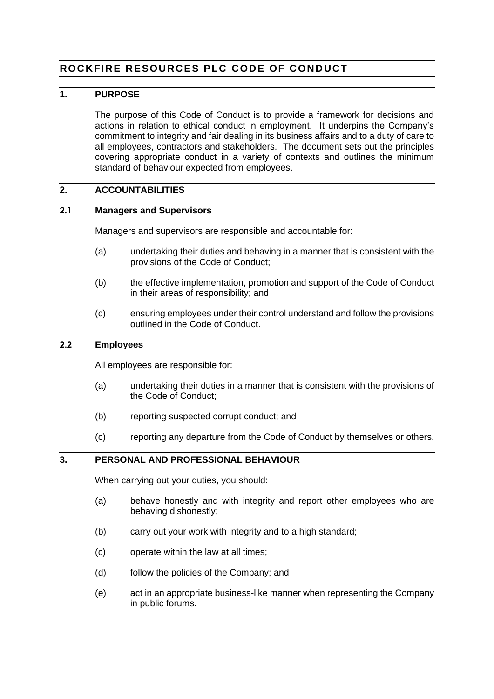# **ROCKFIRE RESOURCES PLC CODE OF CONDUCT**

### **1. PURPOSE**

The purpose of this Code of Conduct is to provide a framework for decisions and actions in relation to ethical conduct in employment. It underpins the Company's commitment to integrity and fair dealing in its business affairs and to a duty of care to all employees, contractors and stakeholders. The document sets out the principles covering appropriate conduct in a variety of contexts and outlines the minimum standard of behaviour expected from employees.

# **2. ACCOUNTABILITIES**

#### **2.1 Managers and Supervisors**

Managers and supervisors are responsible and accountable for:

- (a) undertaking their duties and behaving in a manner that is consistent with the provisions of the Code of Conduct;
- (b) the effective implementation, promotion and support of the Code of Conduct in their areas of responsibility; and
- (c) ensuring employees under their control understand and follow the provisions outlined in the Code of Conduct.

#### **2.2 Employees**

All employees are responsible for:

- (a) undertaking their duties in a manner that is consistent with the provisions of the Code of Conduct;
- (b) reporting suspected corrupt conduct; and
- (c) reporting any departure from the Code of Conduct by themselves or others.

### **3. PERSONAL AND PROFESSIONAL BEHAVIOUR**

When carrying out your duties, you should:

- (a) behave honestly and with integrity and report other employees who are behaving dishonestly;
- (b) carry out your work with integrity and to a high standard;
- (c) operate within the law at all times;
- (d) follow the policies of the Company; and
- (e) act in an appropriate business-like manner when representing the Company in public forums.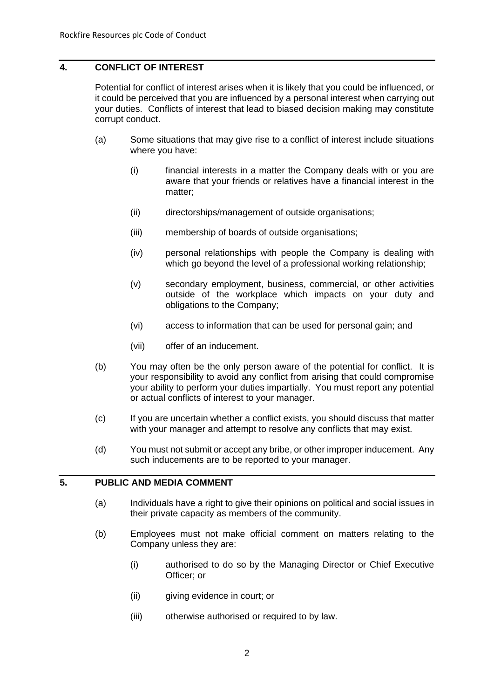## **4. CONFLICT OF INTEREST**

Potential for conflict of interest arises when it is likely that you could be influenced, or it could be perceived that you are influenced by a personal interest when carrying out your duties. Conflicts of interest that lead to biased decision making may constitute corrupt conduct.

- (a) Some situations that may give rise to a conflict of interest include situations where you have:
	- (i) financial interests in a matter the Company deals with or you are aware that your friends or relatives have a financial interest in the matter;
	- (ii) directorships/management of outside organisations;
	- (iii) membership of boards of outside organisations;
	- (iv) personal relationships with people the Company is dealing with which go beyond the level of a professional working relationship;
	- (v) secondary employment, business, commercial, or other activities outside of the workplace which impacts on your duty and obligations to the Company;
	- (vi) access to information that can be used for personal gain; and
	- (vii) offer of an inducement.
- (b) You may often be the only person aware of the potential for conflict. It is your responsibility to avoid any conflict from arising that could compromise your ability to perform your duties impartially. You must report any potential or actual conflicts of interest to your manager.
- (c) If you are uncertain whether a conflict exists, you should discuss that matter with your manager and attempt to resolve any conflicts that may exist.
- (d) You must not submit or accept any bribe, or other improper inducement. Any such inducements are to be reported to your manager.

### **5. PUBLIC AND MEDIA COMMENT**

- (a) Individuals have a right to give their opinions on political and social issues in their private capacity as members of the community.
- (b) Employees must not make official comment on matters relating to the Company unless they are:
	- (i) authorised to do so by the Managing Director or Chief Executive Officer; or
	- (ii) giving evidence in court; or
	- (iii) otherwise authorised or required to by law.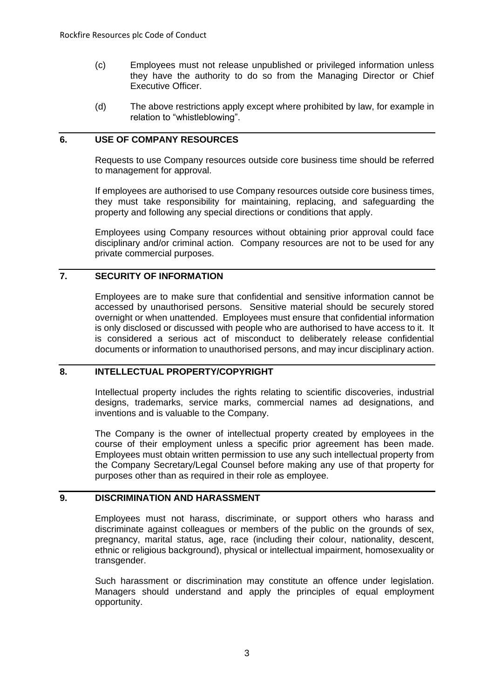- (c) Employees must not release unpublished or privileged information unless they have the authority to do so from the Managing Director or Chief Executive Officer.
- (d) The above restrictions apply except where prohibited by law, for example in relation to "whistleblowing".

# **6. USE OF COMPANY RESOURCES**

Requests to use Company resources outside core business time should be referred to management for approval.

If employees are authorised to use Company resources outside core business times, they must take responsibility for maintaining, replacing, and safeguarding the property and following any special directions or conditions that apply.

Employees using Company resources without obtaining prior approval could face disciplinary and/or criminal action. Company resources are not to be used for any private commercial purposes.

# **7. SECURITY OF INFORMATION**

Employees are to make sure that confidential and sensitive information cannot be accessed by unauthorised persons. Sensitive material should be securely stored overnight or when unattended. Employees must ensure that confidential information is only disclosed or discussed with people who are authorised to have access to it. It is considered a serious act of misconduct to deliberately release confidential documents or information to unauthorised persons, and may incur disciplinary action.

### **8. INTELLECTUAL PROPERTY/COPYRIGHT**

Intellectual property includes the rights relating to scientific discoveries, industrial designs, trademarks, service marks, commercial names ad designations, and inventions and is valuable to the Company.

The Company is the owner of intellectual property created by employees in the course of their employment unless a specific prior agreement has been made. Employees must obtain written permission to use any such intellectual property from the Company Secretary/Legal Counsel before making any use of that property for purposes other than as required in their role as employee.

# **9. DISCRIMINATION AND HARASSMENT**

Employees must not harass, discriminate, or support others who harass and discriminate against colleagues or members of the public on the grounds of sex, pregnancy, marital status, age, race (including their colour, nationality, descent, ethnic or religious background), physical or intellectual impairment, homosexuality or transgender.

Such harassment or discrimination may constitute an offence under legislation. Managers should understand and apply the principles of equal employment opportunity.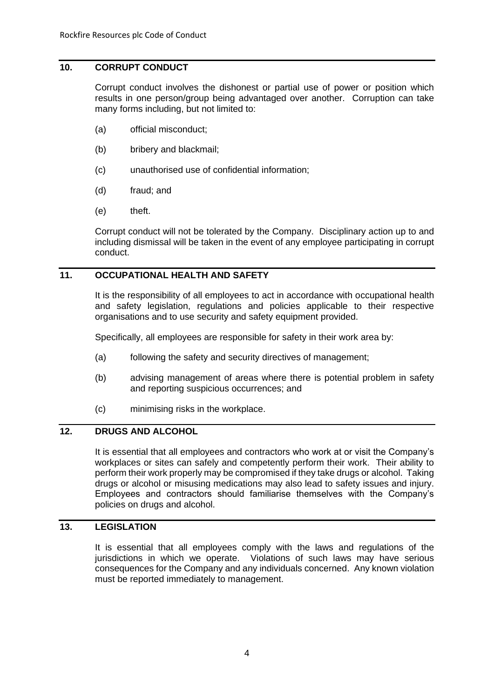# **10. CORRUPT CONDUCT**

Corrupt conduct involves the dishonest or partial use of power or position which results in one person/group being advantaged over another. Corruption can take many forms including, but not limited to:

- (a) official misconduct;
- (b) bribery and blackmail;
- (c) unauthorised use of confidential information;
- (d) fraud; and
- (e) theft.

Corrupt conduct will not be tolerated by the Company. Disciplinary action up to and including dismissal will be taken in the event of any employee participating in corrupt conduct.

# **11. OCCUPATIONAL HEALTH AND SAFETY**

It is the responsibility of all employees to act in accordance with occupational health and safety legislation, regulations and policies applicable to their respective organisations and to use security and safety equipment provided.

Specifically, all employees are responsible for safety in their work area by:

- (a) following the safety and security directives of management;
- (b) advising management of areas where there is potential problem in safety and reporting suspicious occurrences; and
- (c) minimising risks in the workplace.

### **12. DRUGS AND ALCOHOL**

It is essential that all employees and contractors who work at or visit the Company's workplaces or sites can safely and competently perform their work. Their ability to perform their work properly may be compromised if they take drugs or alcohol. Taking drugs or alcohol or misusing medications may also lead to safety issues and injury. Employees and contractors should familiarise themselves with the Company's policies on drugs and alcohol.

# **13. LEGISLATION**

It is essential that all employees comply with the laws and regulations of the jurisdictions in which we operate. Violations of such laws may have serious consequences for the Company and any individuals concerned. Any known violation must be reported immediately to management.